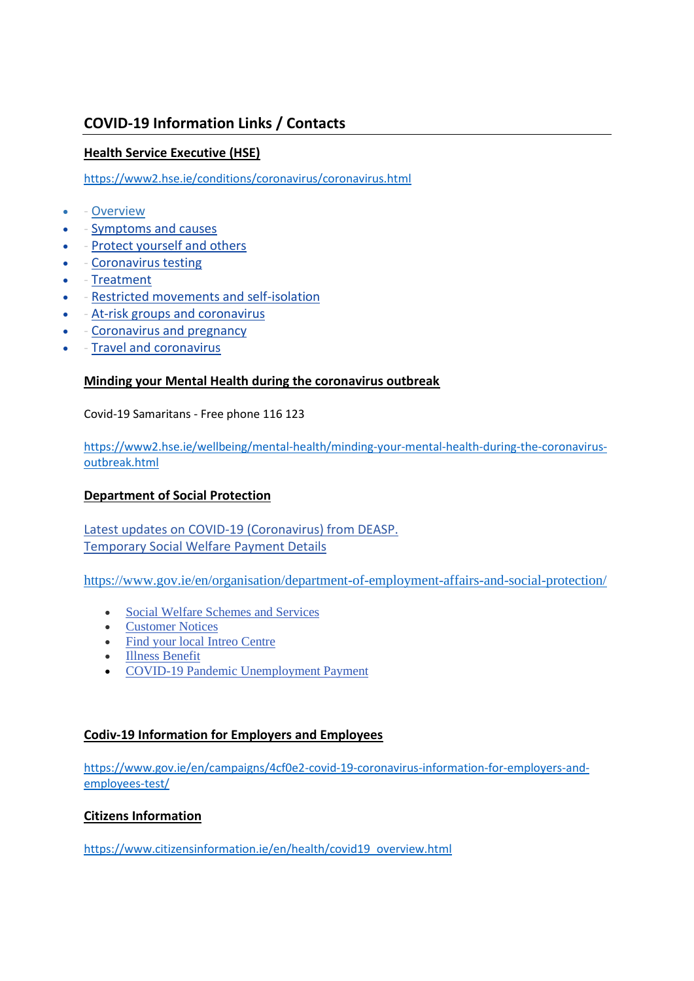# **COVID-19 Information Links / Contacts**

# **Health Service Executive (HSE)**

<https://www2.hse.ie/conditions/coronavirus/coronavirus.html>

- - [Overview](https://www2.hse.ie/conditions/coronavirus/coronavirus.html)
- - [Symptoms and causes](https://www2.hse.ie/conditions/coronavirus/symptoms-causes-treatment.html)
- - [Protect yourself and others](https://www2.hse.ie/conditions/coronavirus/protect-yourself.html)
- - [Coronavirus testing](https://www2.hse.ie/conditions/coronavirus/testing.html)
- - [Treatment](https://www2.hse.ie/conditions/coronavirus/coronavirus-treatment.html)
- - [Restricted movements and self-isolation](https://www2.hse.ie/conditions/coronavirus/self-isolation-and-limited-social-interaction.html)
- [At-risk groups and coronavirus](https://www2.hse.ie/conditions/coronavirus/at-risk-groups.html)
- - [Coronavirus and pregnancy](https://www2.hse.ie/conditions/coronavirus/coronavirus-and-pregnancy.html)
- - [Travel and coronavirus](https://www2.hse.ie/conditions/coronavirus/travel-and-coronavirus.html)

## **Minding your Mental Health during the coronavirus outbreak**

Covid-19 Samaritans - Free phone 116 123

[https://www2.hse.ie/wellbeing/mental-health/minding-your-mental-health-during-the-coronavirus](https://www2.hse.ie/wellbeing/mental-health/minding-your-mental-health-during-the-coronavirus-outbreak.html)[outbreak.html](https://www2.hse.ie/wellbeing/mental-health/minding-your-mental-health-during-the-coronavirus-outbreak.html)

# **Department of Social Protection**

[Latest updates on COVID-19 \(Coronavirus\) from DEASP.](https://www.gov.ie/en/publication/66d22e-covid-19-deasp-information-for-employers-and-employees-pdf/) [Temporary Social Welfare Payment Details](https://www.gov.ie/en/publication/8102d2-new-social-welfare-payment-details/)

<https://www.gov.ie/en/organisation/department-of-employment-affairs-and-social-protection/>

- [Social Welfare Schemes and Services](https://www.gov.ie/en/collection/490ac8-all-services-offered-by-the-department-of-employment-affairs-and-soc/)
- **[Customer Notices](https://www.gov.ie/en/news/67e0b4-customer-notices/)**
- [Find your local Intreo Centre](https://www.gov.ie/en/service/40cf48-find-your-local-intreo-office/)
- [Illness Benefit](https://www.gov.ie/en/service/ddf6e3-illness-benefit/)
- [COVID-19 Pandemic Unemployment Payment](https://www.gov.ie/en/service/be74d3-covid-19-pandemic-unemployment-payment/)

## **Codiv-19 Information for Employers and Employees**

[https://www.gov.ie/en/campaigns/4cf0e2-covid-19-coronavirus-information-for-employers-and](https://www.gov.ie/en/campaigns/4cf0e2-covid-19-coronavirus-information-for-employers-and-employees-test/)[employees-test/](https://www.gov.ie/en/campaigns/4cf0e2-covid-19-coronavirus-information-for-employers-and-employees-test/)

## **Citizens Information**

[https://www.citizensinformation.ie/en/health/covid19\\_overview.html](https://www.citizensinformation.ie/en/health/covid19_overview.html)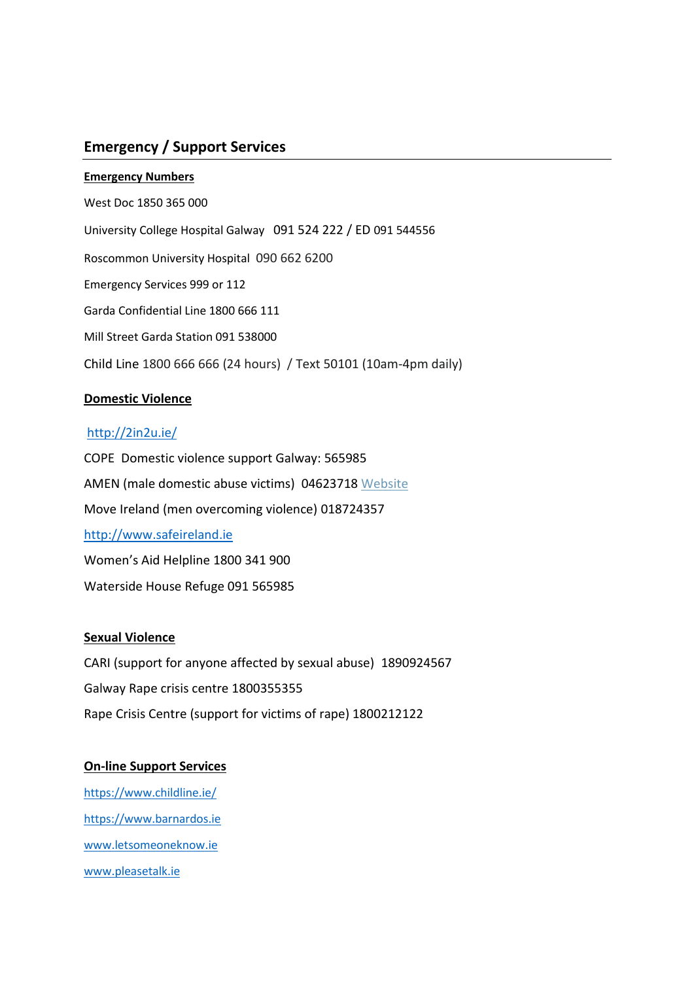# **Emergency / Support Services**

#### **Emergency Numbers**

West Doc 1850 365 000 University College Hospital Galway 091 524 222 / ED 091 544556 Roscommon University Hospital 090 662 6200 Emergency Services 999 or 112 Garda Confidential Line 1800 666 111 Mill Street Garda Station 091 538000 Child Line 1800 666 666 (24 hours) / Text 50101 (10am-4pm daily)

# **Domestic Violence**

## <http://2in2u.ie/>

COPE Domestic violence support Galway: 565985 AMEN (male domestic abuse victims) 04623718 [Website](http://www.amen.ie/) Move Ireland (men overcoming violence) 018724357 [http://www.safeireland.ie](http://www.safeireland.ie/) Women's Aid Helpline 1800 341 900 Waterside House Refuge 091 565985

# **Sexual Violence**

CARI (support for anyone affected by sexual abuse) 1890924567 Galway Rape crisis centre 1800355355 Rape Crisis Centre (support for victims of rape) 1800212122

# **On-line Support Services**

<https://www.childline.ie/> [https://www.barnardos.ie](https://www.barnardos.ie/) [www.letsomeoneknow.ie](http://www.letsomeoneknow.ie/) [www.pleasetalk.ie](http://www.pleasetalk.ie/)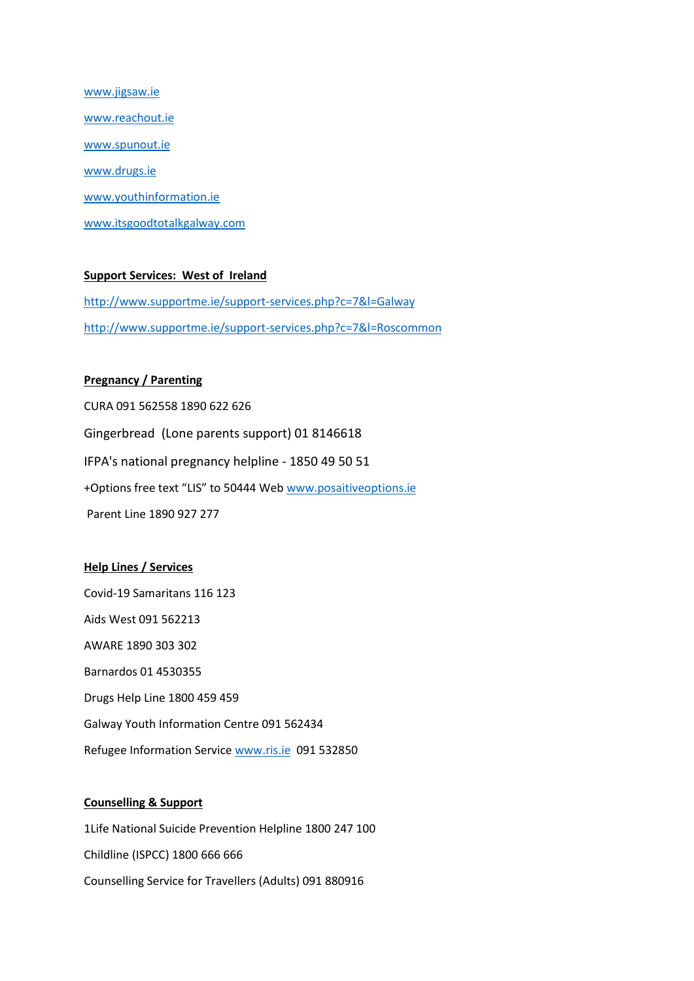[www.jigsaw.ie](http://www.jigsaw.ie/) [www.reachout.ie](http://www.reachout.ie/) [www.spunout.ie](http://www.spunout.ie/) [www.drugs.ie](http://www.drugs.ie/) [www.youthinformation.ie](http://www.youthinformation.ie/) [www.itsgoodtotalkgalway.com](http://www.itsgoodtotalkgalway.com/)

## **Support Services: West of Ireland**

<http://www.supportme.ie/support-services.php?c=7&l=Galway> <http://www.supportme.ie/support-services.php?c=7&l=Roscommon>

### **Pregnancy / Parenting**

CURA 091 562558 1890 622 626 Gingerbread (Lone parents support) 01 8146618 IFPA's national pregnancy helpline - 1850 49 50 51 +Options free text "LIS" to 50444 Web [www.posaitiveoptions.ie](http://www.posaitiveoptions.ie/) Parent Line 1890 927 277

#### **Help Lines / Services**

Covid-19 Samaritans 116 123 Aids West 091 562213 AWARE 1890 303 302 Barnardos 01 4530355 Drugs Help Line 1800 459 459 Galway Youth Information Centre 091 562434 Refugee Information Servic[e www.ris.ie](http://www.ris.ie/) 091 532850

### **Counselling & Support**

1Life National Suicide Prevention Helpline 1800 247 100 Childline (ISPCC) 1800 666 666 Counselling Service for Travellers (Adults) 091 880916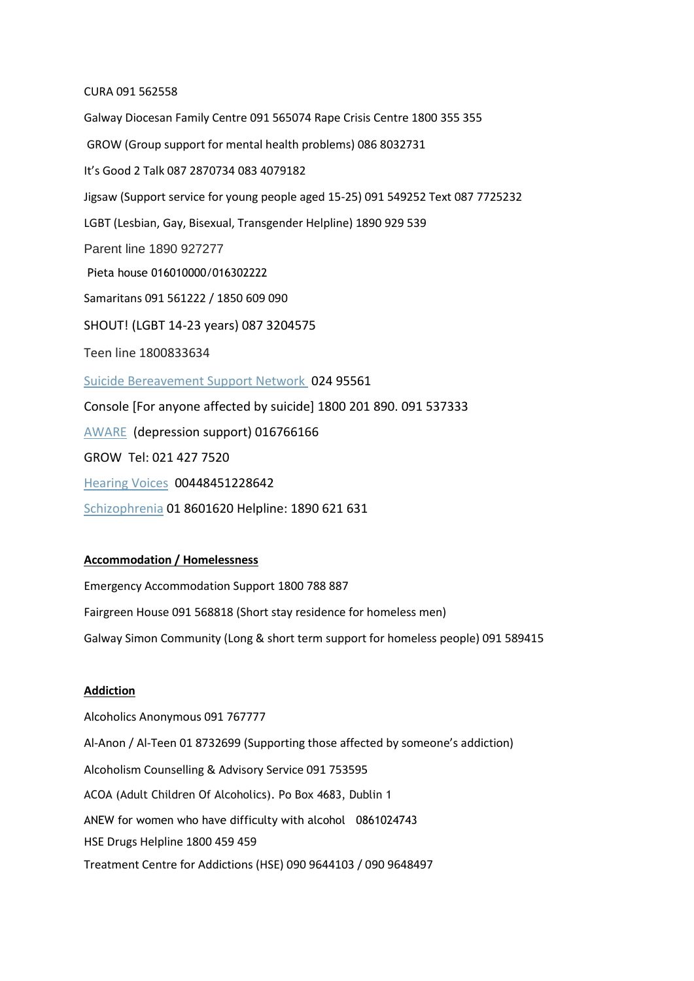#### CURA 091 562558

Galway Diocesan Family Centre 091 565074 Rape Crisis Centre 1800 355 355 GROW (Group support for mental health problems) 086 8032731 It's Good 2 Talk 087 2870734 083 4079182 Jigsaw (Support service for young people aged 15-25) 091 549252 Text 087 7725232 LGBT (Lesbian, Gay, Bisexual, Transgender Helpline) 1890 929 539 Parent line 1890 927277 Pieta house 016010000/016302222 Samaritans 091 561222 / 1850 609 090 SHOUT! (LGBT 14-23 years) 087 3204575 Teen line 1800833634 [Suicide Bereavement Support Network](http://www.nsbsn.org/) 024 95561 Console [For anyone affected by suicide] 1800 201 890. 091 537333 [AWARE](http://www.aware.ie/) (depression support) 016766166 GROW Tel: 021 427 7520 [Hearing Voices](http://www.hearing-voices.org/) 00448451228642 [Schizophrenia](http://www.sirl.ie/) 01 8601620 Helpline: 1890 621 631

#### **Accommodation / Homelessness**

Emergency Accommodation Support 1800 788 887 Fairgreen House 091 568818 (Short stay residence for homeless men) Galway Simon Community (Long & short term support for homeless people) 091 589415

#### **Addiction**

Alcoholics Anonymous 091 767777 Al-Anon / Al-Teen 01 8732699 (Supporting those affected by someone's addiction) Alcoholism Counselling & Advisory Service 091 753595 ACOA (Adult Children Of Alcoholics). Po Box 4683, Dublin 1 ANEW for women who have difficulty with alcohol 0861024743 HSE Drugs Helpline 1800 459 459 Treatment Centre for Addictions (HSE) 090 9644103 / 090 9648497